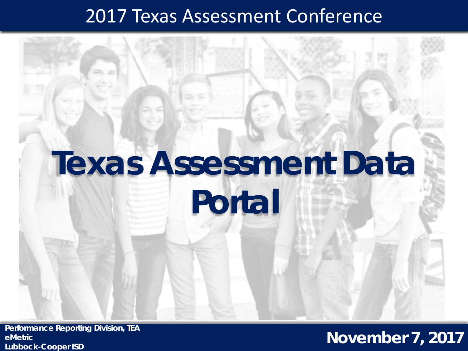#### 2017 Texas Assessment Conference



**Performance Reporting Division, TEA eMetric Lubbock-Cooper ISD**

#### **November 7, 2017**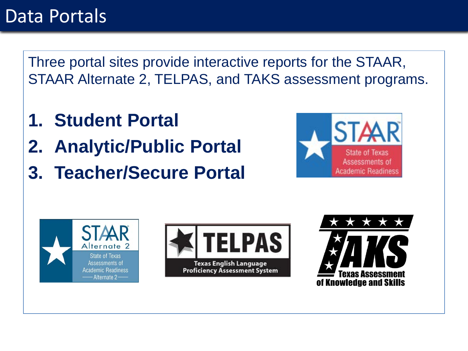#### Data Portals

Three portal sites provide interactive reports for the STAAR, STAAR Alternate 2, TELPAS, and TAKS assessment programs.

- **1. Student Portal**
- **2. Analytic/Public Portal**
- **3. Teacher/Secure Portal**







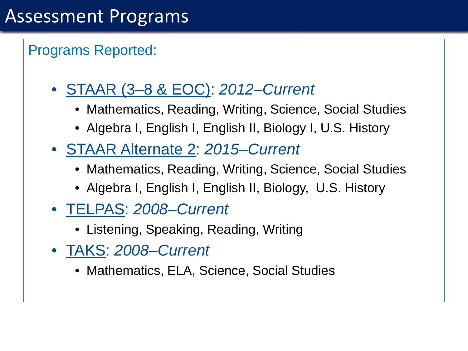#### Programs Reported:

- STAAR (3–8 & EOC): *2012–Current*
	- Mathematics, Reading, Writing, Science, Social Studies
	- Algebra I, English I, English II, Biology I, U.S. History
- STAAR Alternate 2: *2015–Current*
	- Mathematics, Reading, Writing, Science, Social Studies
	- Algebra I, English I, English II, Biology, U.S. History
- TELPAS: *2008–Current*
	- Listening, Speaking, Reading, Writing
- TAKS: *2008–Current*
	- Mathematics, ELA, Science, Social Studies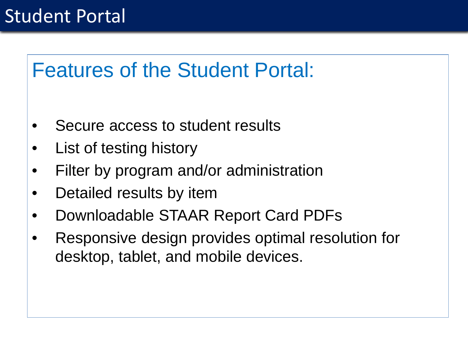

- Secure access to student results
- List of testing history
- Filter by program and/or administration
- Detailed results by item
- Downloadable STAAR Report Card PDFs
- Responsive design provides optimal resolution for desktop, tablet, and mobile devices.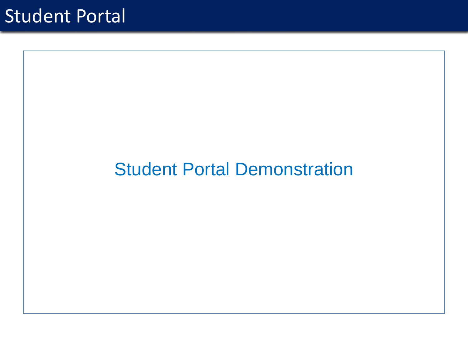#### Student Portal Demonstration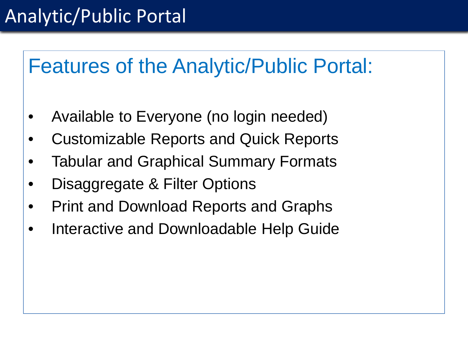# Analytic/Public Portal

# Features of the Analytic/Public Portal:

- Available to Everyone (no login needed)
- Customizable Reports and Quick Reports
- **Tabular and Graphical Summary Formats**
- Disaggregate & Filter Options
- Print and Download Reports and Graphs
- Interactive and Downloadable Help Guide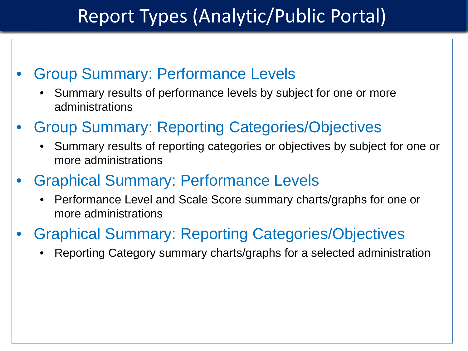## Report Types (Analytic/Public Portal)

- Group Summary: Performance Levels
	- Summary results of performance levels by subject for one or more administrations
- Group Summary: Reporting Categories/Objectives
	- Summary results of reporting categories or objectives by subject for one or more administrations
- Graphical Summary: Performance Levels
	- Performance Level and Scale Score summary charts/graphs for one or more administrations
- Graphical Summary: Reporting Categories/Objectives
	- Reporting Category summary charts/graphs for a selected administration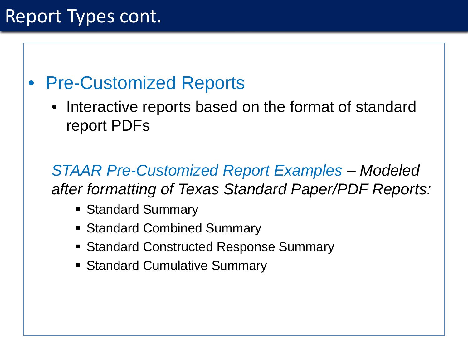# Report Types cont.

#### • Pre-Customized Reports

• Interactive reports based on the format of standard report PDFs

*STAAR Pre-Customized Report Examples – Modeled after formatting of Texas Standard Paper/PDF Reports:*

- **Standard Summary**
- Standard Combined Summary
- **Standard Constructed Response Summary**
- **Standard Cumulative Summary**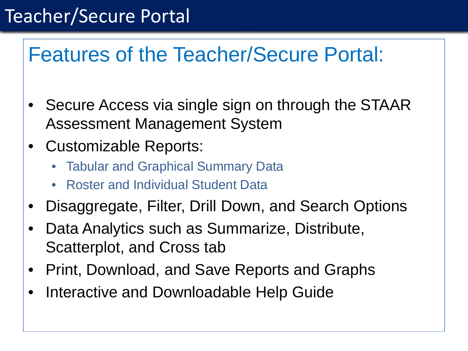# Teacher/Secure Portal

# Features of the Teacher/Secure Portal:

- Secure Access via single sign on through the STAAR Assessment Management System
- Customizable Reports:
	- Tabular and Graphical Summary Data
	- Roster and Individual Student Data
- Disaggregate, Filter, Drill Down, and Search Options
- Data Analytics such as Summarize, Distribute, Scatterplot, and Cross tab
- Print, Download, and Save Reports and Graphs
- Interactive and Downloadable Help Guide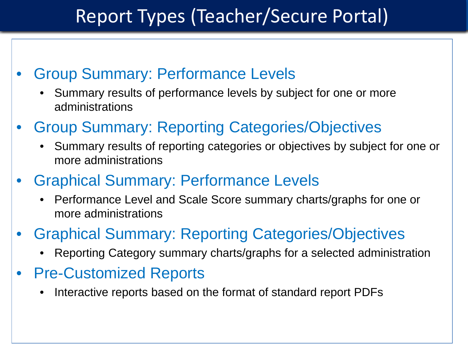# Report Types (Teacher/Secure Portal)

- Group Summary: Performance Levels
	- Summary results of performance levels by subject for one or more administrations
- Group Summary: Reporting Categories/Objectives
	- Summary results of reporting categories or objectives by subject for one or more administrations
- Graphical Summary: Performance Levels
	- Performance Level and Scale Score summary charts/graphs for one or more administrations
- Graphical Summary: Reporting Categories/Objectives
	- Reporting Category summary charts/graphs for a selected administration
- Pre-Customized Reports
	- Interactive reports based on the format of standard report PDFs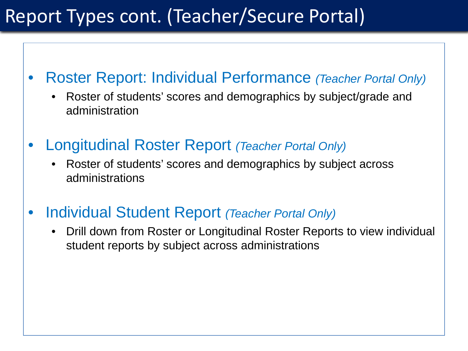## Report Types cont. (Teacher/Secure Portal)

- Roster Report: Individual Performance *(Teacher Portal Only)*
	- Roster of students' scores and demographics by subject/grade and administration
- Longitudinal Roster Report *(Teacher Portal Only)*
	- Roster of students' scores and demographics by subject across administrations
- Individual Student Report *(Teacher Portal Only)*
	- Drill down from Roster or Longitudinal Roster Reports to view individual student reports by subject across administrations